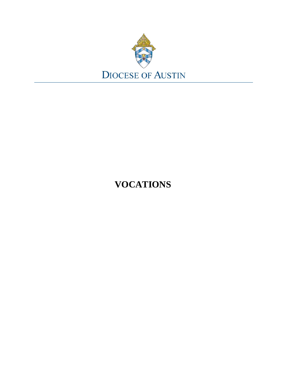

# **VOCATIONS**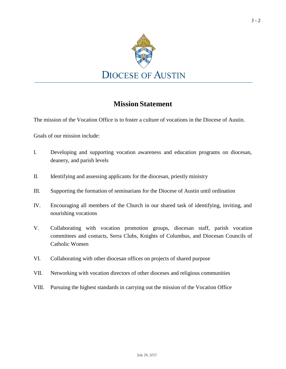

# **Mission Statement**

The mission of the Vocation Office is to foster a culture of vocations in the Diocese of Austin.

Goals of our mission include:

- I. Developing and supporting vocation awareness and education programs on diocesan, deanery, and parish levels
- II. Identifying and assessing applicants for the diocesan, priestly ministry
- III. Supporting the formation of seminarians for the Diocese of Austin until ordination
- IV. Encouraging all members of the Church in our shared task of identifying, inviting, and nourishing vocations
- V. Collaborating with vocation promotion groups, diocesan staff, parish vocation committees and contacts, Serra Clubs, Knights of Columbus, and Diocesan Councils of Catholic Women
- VI. Collaborating with other diocesan offices on projects of shared purpose
- VII. Networking with vocation directors of other dioceses and religious communities
- VIII. Pursuing the highest standards in carrying out the mission of the Vocation Office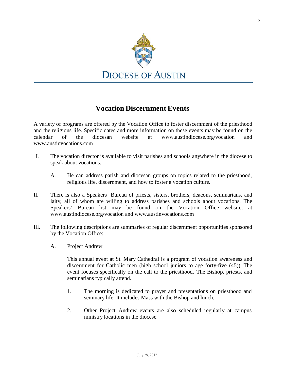

# **Vocation Discernment Events**

A variety of programs are offered by the Vocation Office to foster discernment of the priesthood and the religious life. Specific dates and more information on these events may be found on the calendar of the diocesan website at [www.austindiocese.org/vocation](http://www.austindiocese.org/vocation) and [www.austinvocations.com](http://www.austinvocations.com/)

- I. The vocation director is available to visit parishes and schools anywhere in the diocese to speak about vocations.
	- A. He can address parish and diocesan groups on topics related to the priesthood, religious life, discernment, and how to foster a vocation culture.
- II. There is also a Speakers' Bureau of priests, sisters, brothers, deacons, seminarians, and laity, all of whom are willing to address parishes and schools about vocations. The Speakers' Bureau list may be found on the Vocation Office website, a[t](http://www.austindiocese.org/vocation) [www.austindiocese.org/vocation a](http://www.austindiocese.org/vocation)nd [www.austinvocations.com](http://www.austinvocations.com/)
- III. The following descriptions are summaries of regular discernment opportunities sponsored by the Vocation Office:
	- A. Project Andrew

This annual event at St. Mary Cathedral is a program of vocation awareness and discernment for Catholic men (high school juniors to age forty-five (45)). The event focuses specifically on the call to the priesthood. The Bishop, priests, and seminarians typically attend.

- 1. The morning is dedicated to prayer and presentations on priesthood and seminary life. It includes Mass with the Bishop and lunch.
- 2. Other Project Andrew events are also scheduled regularly at campus ministry locations in the diocese.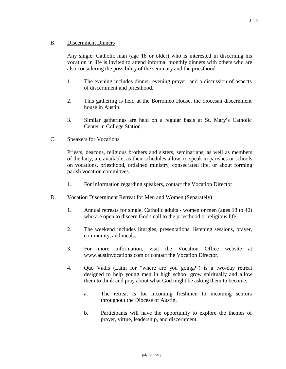# B. Discernment Dinners

Any single, Catholic man (age 18 or older) who is interested in discerning his vocation in life is invited to attend informal monthly dinners with others who are also considering the possibility of the seminary and the priesthood.

- 1. The evening includes dinner, evening prayer, and a discussion of aspects of discernment and priesthood.
- 2. This gathering is held at the Borromeo House, the diocesan discernment house in Austin.
- 3. Similar gatherings are held on a regular basis at St. Mary's Catholic Center in College Station.
- C. Speakers for Vocations

Priests, deacons, religious brothers and sisters, seminarians, as well as members of the laity, are available, as their schedules allow, to speak in parishes or schools on vocations, priesthood, ordained ministry, consecrated life, or about forming parish vocation committees.

- 1. For information regarding speakers, contact the Vocation Director
- D. Vocation Discernment Retreat for Men and Women (Separately)
	- 1. Annual retreats for single, Catholic adults women or men (ages 18 to 40) who are open to discern God's call to the priesthood or religious life.
	- 2. The weekend includes liturgies, presentations, listening sessions, prayer, community, and meals.
	- 3. For more information, visit the Vocation Office website a[t](http://www.austinvocations.com/) [www.austinvocations.com o](http://www.austinvocations.com/)r contact the Vocation Director.
	- 4. Quo Vadis (Latin for "where are you going?") is a two-day retreat designed to help young men in high school grow spiritually and allow them to think and pray about what God might be asking them to become.
		- a. The retreat is for incoming freshmen to incoming seniors throughout the Diocese of Austin.
		- b. Participants will have the opportunity to explore the themes of prayer, virtue, leadership, and discernment.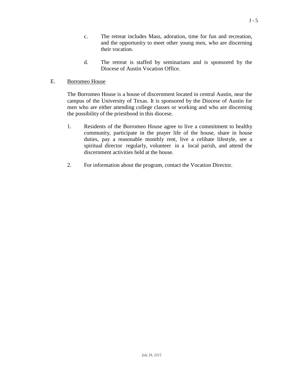- c. The retreat includes Mass, adoration, time for fun and recreation, and the opportunity to meet other young men, who are discerning their vocation.
- d. The retreat is staffed by seminarians and is sponsored by the Diocese of Austin Vocation Office.

#### E. Borromeo House

The Borromeo House is a house of discernment located in central Austin, near the campus of the University of Texas. It is sponsored by the Diocese of Austin for men who are either attending college classes or working and who are discerning the possibility of the priesthood in this diocese.

- 1. Residents of the Borromeo House agree to live a commitment to healthy community, participate in the prayer life of the house, share in house duties, pay a reasonable monthly rent, live a celibate lifestyle, see a spiritual director regularly, volunteer in a local parish, and attend the discernment activities held at the house.
- 2. For information about the program, contact the Vocation Director.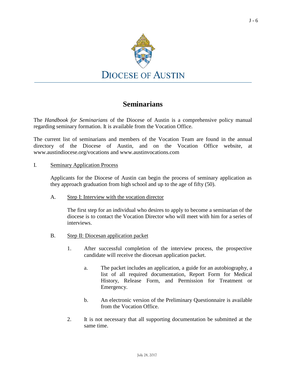

# **Seminarians**

The *Handbook for Seminarians* of the Diocese of Austin is a comprehensive policy manual regarding seminary formation. It is available from the Vocation Office.

The current list of seminarians and members of the Vocation Team are found in the annual directory of the Diocese of Austin, and on the Vocation Office website, a[t](http://www.austindiocese.org/vocations) [www.austindiocese.org/vocations a](http://www.austindiocese.org/vocations)nd [www.austinvocations.com](http://www.austinvocations.com/)

### I. Seminary Application Process

Applicants for the Diocese of Austin can begin the process of seminary application as they approach graduation from high school and up to the age of fifty (50).

A. Step I: Interview with the vocation director

The first step for an individual who desires to apply to become a seminarian of the diocese is to contact the Vocation Director who will meet with him for a series of interviews.

- B. Step II: Diocesan application packet
	- 1. After successful completion of the interview process, the prospective candidate will receive the diocesan application packet.
		- a. The packet includes an application, a guide for an autobiography, a list of all required documentation, Report Form for Medical History, Release Form, and Permission for Treatment or Emergency.
		- b. An electronic version of the Preliminary Questionnaire is available from the Vocation Office.
	- 2. It is not necessary that all supporting documentation be submitted at the same time.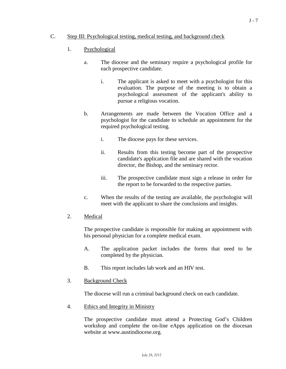# C. Step III: Psychological testing, medical testing, and background check

- 1. Psychological
	- a. The diocese and the seminary require a psychological profile for each prospective candidate.
		- i. The applicant is asked to meet with a psychologist for this evaluation. The purpose of the meeting is to obtain a psychological assessment of the applicant's ability to pursue a religious vocation.
	- b. Arrangements are made between the Vocation Office and a psychologist for the candidate to schedule an appointment for the required psychological testing.
		- i. The diocese pays for these services.
		- ii. Results from this testing become part of the prospective candidate's application file and are shared with the vocation director, the Bishop, and the seminary rector.
		- iii. The prospective candidate must sign a release in order for the report to be forwarded to the respective parties.
	- c. When the results of the testing are available, the psychologist will meet with the applicant to share the conclusions and insights.
- 2. Medical

The prospective candidate is responsible for making an appointment with his personal physician for a complete medical exam.

- A. The application packet includes the forms that need to be completed by the physician.
- B. This report includes lab work and an HIV test.
- 3. Background Check

The diocese will run a criminal background check on each candidate.

4. Ethics and Integrity in Ministry

The prospective candidate must attend a Protecting God's Children workshop and complete the on-line eApps application on the diocesan website [at www.austindiocese.org.](http://www.austindiocese.org/)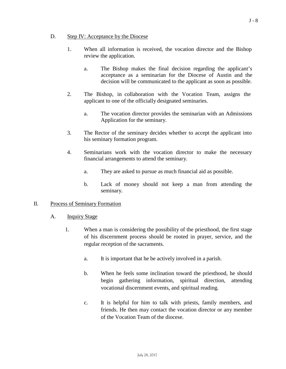#### D. Step IV: Acceptance by the Diocese

- 1. When all information is received, the vocation director and the Bishop review the application.
	- a. The Bishop makes the final decision regarding the applicant's acceptance as a seminarian for the Diocese of Austin and the decision will be communicated to the applicant as soon as possible.
- 2. The Bishop, in collaboration with the Vocation Team, assigns the applicant to one of the officially designated seminaries.
	- a. The vocation director provides the seminarian with an Admissions Application for the seminary.
- 3. The Rector of the seminary decides whether to accept the applicant into his seminary formation program.
- 4. Seminarians work with the vocation director to make the necessary financial arrangements to attend the seminary.
	- a. They are asked to pursue as much financial aid as possible.
	- b. Lack of money should not keep a man from attending the seminary.

### II. Process of Seminary Formation

- A. **Inquiry Stage** 
	- 1. When a man is considering the possibility of the priesthood, the first stage of his discernment process should be rooted in prayer, service, and the regular reception of the sacraments.
		- a. It is important that he be actively involved in a parish.
		- b. When he feels some inclination toward the priesthood, he should begin gathering information, spiritual direction, attending vocational discernment events, and spiritual reading.
		- c. It is helpful for him to talk with priests, family members, and friends. He then may contact the vocation director or any member of the Vocation Team of the diocese.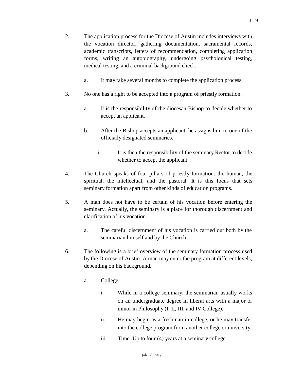- 2. The application process for the Diocese of Austin includes interviews with the vocation director, gathering documentation, sacramental records, academic transcripts, letters of recommendation, completing application forms, writing an autobiography, undergoing psychological testing, medical testing, and a criminal background check.
	- a. It may take several months to complete the application process.
- 3. No one has a right to be accepted into a program of priestly formation.
	- a. It is the responsibility of the diocesan Bishop to decide whether to accept an applicant.
	- b. After the Bishop accepts an applicant, he assigns him to one of the officially designated seminaries.
		- i. It is then the responsibility of the seminary Rector to decide whether to accept the applicant.
- 4. The Church speaks of four pillars of priestly formation: the human, the spiritual, the intellectual, and the pastoral. It is this focus that sets seminary formation apart from other kinds of education programs.
- 5. A man does not have to be certain of his vocation before entering the seminary. Actually, the seminary is a place for thorough discernment and clarification of his vocation.
	- a. The careful discernment of his vocation is carried out both by the seminarian himself and by the Church.
- 6. The following is a brief overview of the seminary formation process used by the Diocese of Austin. A man may enter the program at different levels, depending on his background.
	- a. College
		- i. While in a college seminary, the seminarian usually works on an undergraduate degree in liberal arts with a major or minor in Philosophy (I, II, III, and IV College).
		- ii. He may begin as a freshman in college, or he may transfer into the college program from another college or university.
		- iii. Time: Up to four (4) years at a seminary college.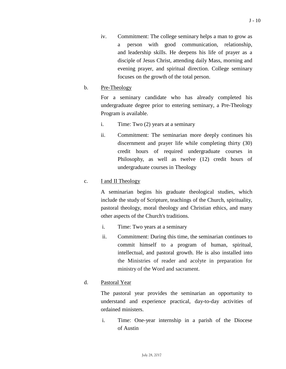iv. Commitment: The college seminary helps a man to grow as a person with good communication, relationship, and leadership skills. He deepens his life of prayer as a disciple of Jesus Christ, attending daily Mass, morning and evening prayer, and spiritual direction. College seminary focuses on the growth of the total person.

# b. Pre-Theology

For a seminary candidate who has already completed his undergraduate degree prior to entering seminary, a Pre-Theology Program is available.

- i. Time: Two (2) years at a seminary
- ii. Commitment: The seminarian more deeply continues his discernment and prayer life while completing thirty (30) credit hours of required undergraduate courses in Philosophy, as well as twelve (12) credit hours of undergraduate courses in Theology

# c. I and II Theology

A seminarian begins his graduate theological studies, which include the study of Scripture, teachings of the Church, spirituality, pastoral theology, moral theology and Christian ethics, and many other aspects of the Church's traditions.

- i. Time: Two years at a seminary
- ii. Commitment: During this time, the seminarian continues to commit himself to a program of human, spiritual, intellectual, and pastoral growth. He is also installed into the Ministries of reader and acolyte in preparation for ministry of the Word and sacrament.

# d. Pastoral Year

The pastoral year provides the seminarian an opportunity to understand and experience practical, day-to-day activities of ordained ministers.

i. Time: One-year internship in a parish of the Diocese of Austin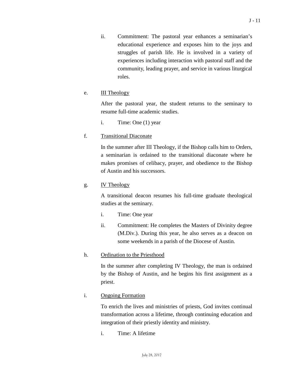ii. Commitment: The pastoral year enhances a seminarian's educational experience and exposes him to the joys and struggles of parish life. He is involved in a variety of experiences including interaction with pastoral staff and the community, leading prayer, and service in various liturgical roles.

# e. **III** Theology

After the pastoral year, the student returns to the seminary to resume full-time academic studies.

i. Time: One (1) year

# f. Transitional Diaconate

In the summer after III Theology, if the Bishop calls him to Orders, a seminarian is ordained to the transitional diaconate where he makes promises of celibacy, prayer, and obedience to the Bishop of Austin and his successors.

# g. IV Theology

A transitional deacon resumes his full-time graduate theological studies at the seminary.

- i. Time: One year
- ii. Commitment: He completes the Masters of Divinity degree (M.Div.). During this year, he also serves as a deacon on some weekends in a parish of the Diocese of Austin.

# h. Ordination to the Priesthood

In the summer after completing IV Theology, the man is ordained by the Bishop of Austin, and he begins his first assignment as a priest.

# i. Ongoing Formation

To enrich the lives and ministries of priests, God invites continual transformation across a lifetime, through continuing education and integration of their priestly identity and ministry.

i. Time: A lifetime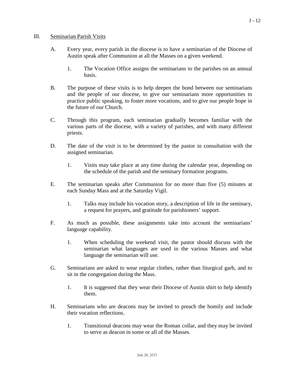- A. Every year, every parish in the diocese is to have a seminarian of the Diocese of Austin speak after Communion at all the Masses on a given weekend.
	- 1. The Vocation Office assigns the seminarians to the parishes on an annual basis.
- B. The purpose of these visits is to help deepen the bond between our seminarians and the people of our diocese, to give our seminarians more opportunities to practice public speaking, to foster more vocations, and to give our people hope in the future of our Church.
- C. Through this program, each seminarian gradually becomes familiar with the various parts of the diocese, with a variety of parishes, and with many different priests.
- D. The date of the visit is to be determined by the pastor in consultation with the assigned seminarian.
	- 1. Visits may take place at any time during the calendar year, depending on the schedule of the parish and the seminary formation programs.
- E. The seminarian speaks after Communion for no more than five (5) minutes at each Sunday Mass and at the Saturday Vigil.
	- 1. Talks may include his vocation story, a description of life in the seminary, a request for prayers, and gratitude for parishioners' support.
- F. As much as possible, these assignments take into account the seminarians' language capability.
	- 1. When scheduling the weekend visit, the pastor should discuss with the seminarian what languages are used in the various Masses and what language the seminarian will use.
- G. Seminarians are asked to wear regular clothes, rather than liturgical garb, and to sit in the congregation during the Mass.
	- 1. It is suggested that they wear their Diocese of Austin shirt to help identify them.
- H. Seminarians who are deacons may be invited to preach the homily and include their vocation reflections.
	- 1. Transitional deacons may wear the Roman collar, and they may be invited to serve as deacon in some or all of the Masses.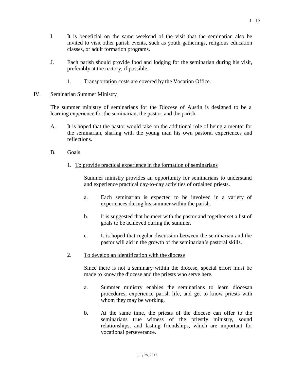- I. It is beneficial on the same weekend of the visit that the seminarian also be invited to visit other parish events, such as youth gatherings, religious education classes, or adult formation programs.
- J. Each parish should provide food and lodging for the seminarian during his visit, preferably at the rectory, if possible.
	- 1. Transportation costs are covered by the Vocation Office.

### IV. Seminarian Summer Ministry

The summer ministry of seminarians for the Diocese of Austin is designed to be a learning experience for the seminarian, the pastor, and the parish.

- A. It is hoped that the pastor would take on the additional role of being a mentor for the seminarian, sharing with the young man his own pastoral experiences and reflections.
- B. Goals
	- 1. To provide practical experience in the formation of seminarians

Summer ministry provides an opportunity for seminarians to understand and experience practical day-to-day activities of ordained priests.

- a. Each seminarian is expected to be involved in a variety of experiences during his summer within the parish.
- b. It is suggested that he meet with the pastor and together set a list of goals to be achieved during the summer.
- c. It is hoped that regular discussion between the seminarian and the pastor will aid in the growth of the seminarian's pastoral skills.
- 2. To develop an identification with the diocese

Since there is not a seminary within the diocese, special effort must be made to know the diocese and the priests who serve here.

- a. Summer ministry enables the seminarians to learn diocesan procedures, experience parish life, and get to know priests with whom they may be working.
- b. At the same time, the priests of the diocese can offer to the seminarians true witness of the priestly ministry, sound relationships, and lasting friendships, which are important for vocational perseverance.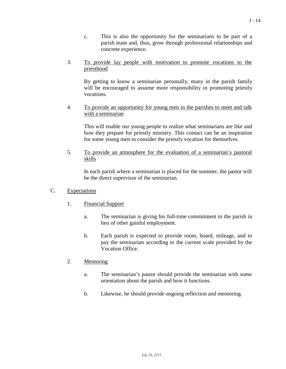- c. This is also the opportunity for the seminarians to be part of a parish team and, thus, grow through professional relationships and concrete experience.
- 3. To provide lay people with motivation to promote vocations to the priesthood

By getting to know a seminarian personally, many in the parish family will be encouraged to assume more responsibility in promoting priestly vocations.

4. To provide an opportunity for young men in the parishes to meet and talk with a seminarian

This will enable our young people to realize what seminarians are like and how they prepare for priestly ministry. This contact can be an inspiration for some young men to consider the priestly vocation for themselves.

5. To provide an atmosphere for the evaluation of a seminarian's pastoral skills

In each parish where a seminarian is placed for the summer, the pastor will be the direct supervisor of the seminarian.

### C. Expectations

- 1. Financial Support
	- a. The seminarian is giving his full-time commitment to the parish in lieu of other gainful employment.
	- b. Each parish is expected to provide room, board, mileage, and to pay the seminarian according to the current scale provided by the Vocation Office.

### 2. Mentoring

- a. The seminarian's pastor should provide the seminarian with some orientation about the parish and how it functions.
- b. Likewise, he should provide ongoing reflection and mentoring.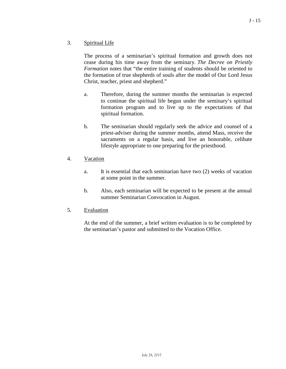# 3. Spiritual Life

The process of a seminarian's spiritual formation and growth does not cease during his time away from the seminary. *The Decree on Priestly Formation* notes that "the entire training of students should be oriented to the formation of true shepherds of souls after the model of Our Lord Jesus Christ, teacher, priest and shepherd."

- a. Therefore, during the summer months the seminarian is expected to continue the spiritual life begun under the seminary's spiritual formation program and to live up to the expectations of that spiritual formation.
- b. The seminarian should regularly seek the advice and counsel of a priest-adviser during the summer months, attend Mass, receive the sacraments on a regular basis, and live an honorable, celibate lifestyle appropriate to one preparing for the priesthood.
- 4. Vacation
	- a. It is essential that each seminarian have two (2) weeks of vacation at some point in the summer.
	- b. Also, each seminarian will be expected to be present at the annual summer Seminarian Convocation in August.
- 5. Evaluation

At the end of the summer, a brief written evaluation is to be completed by the seminarian's pastor and submitted to the Vocation Office.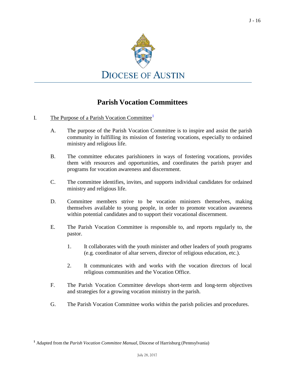

# **Parish Vocation Committees**

- <span id="page-15-0"></span>I. The Purpose of a Parish Vocation Committee<sup>[1](#page-15-0)</sup>
	- A. The purpose of the Parish Vocation Committee is to inspire and assist the parish community in fulfilling its mission of fostering vocations, especially to ordained ministry and religious life.
	- B. The committee educates parishioners in ways of fostering vocations, provides them with resources and opportunities, and coordinates the parish prayer and programs for vocation awareness and discernment.
	- C. The committee identifies, invites, and supports individual candidates for ordained ministry and religious life.
	- D. Committee members strive to be vocation ministers themselves, making themselves available to young people, in order to promote vocation awareness within potential candidates and to support their vocational discernment.
	- E. The Parish Vocation Committee is responsible to, and reports regularly to, the pastor.
		- 1. It collaborates with the youth minister and other leaders of youth programs (e.g. coordinator of altar servers, director of religious education, etc.).
		- 2. It communicates with and works with the vocation directors of local religious communities and the Vocation Office.
	- F. The Parish Vocation Committee develops short-term and long-term objectives and strategies for a growing vocation ministry in the parish.
	- G. The Parish Vocation Committee works within the parish policies and procedures.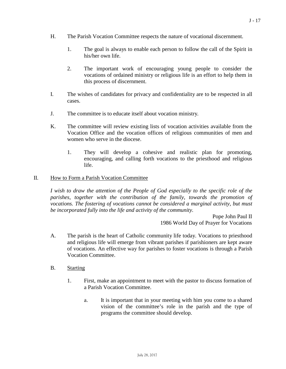- H. The Parish Vocation Committee respects the nature of vocational discernment.
	- 1. The goal is always to enable each person to follow the call of the Spirit in his/her own life.
	- 2. The important work of encouraging young people to consider the vocations of ordained ministry or religious life is an effort to help them in this process of discernment.
- I. The wishes of candidates for privacy and confidentiality are to be respected in all cases.
- J. The committee is to educate itself about vocation ministry.
- K. The committee will review existing lists of vocation activities available from the Vocation Office and the vocation offices of religious communities of men and women who serve in the diocese.
	- 1. They will develop a cohesive and realistic plan for promoting, encouraging, and calling forth vocations to the priesthood and religious life.

### II. How to Form a Parish Vocation Committee

*I wish to draw the attention of the People of God especially to the specific role of the parishes, together with the contribution of the family, towards the promotion of vocations. The fostering of vocations cannot be considered a marginal activity, but must be incorporated fully into the life and activity of the community.*

> Pope John Paul II 1986 World Day of Prayer for Vocations

- A. The parish is the heart of Catholic community life today. Vocations to priesthood and religious life will emerge from vibrant parishes if parishioners are kept aware of vocations. An effective way for parishes to foster vocations is through a Parish Vocation Committee.
- B. Starting
	- 1. First, make an appointment to meet with the pastor to discuss formation of a Parish Vocation Committee.
		- a. It is important that in your meeting with him you come to a shared vision of the committee's role in the parish and the type of programs the committee should develop.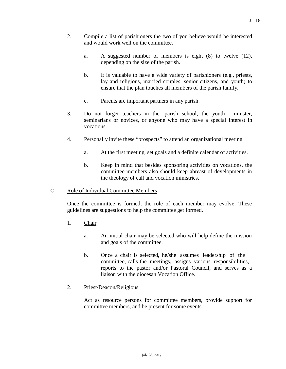- 2. Compile a list of parishioners the two of you believe would be interested and would work well on the committee.
	- a. A suggested number of members is eight (8) to twelve (12), depending on the size of the parish.
	- b. It is valuable to have a wide variety of parishioners (e.g., priests, lay and religious, married couples, senior citizens, and youth) to ensure that the plan touches all members of the parish family.
	- c. Parents are important partners in any parish.
- 3. Do not forget teachers in the parish school, the youth minister, seminarians or novices, or anyone who may have a special interest in vocations.
- 4. Personally invite these "prospects" to attend an organizational meeting.
	- a. At the first meeting, set goals and a definite calendar of activities.
	- b. Keep in mind that besides sponsoring activities on vocations, the committee members also should keep abreast of developments in the theology of call and vocation ministries.

### C. Role of Individual Committee Members

Once the committee is formed, the role of each member may evolve. These guidelines are suggestions to help the committee get formed.

- 1. Chair
	- a. An initial chair may be selected who will help define the mission and goals of the committee.
	- b. Once a chair is selected, he/she assumes leadership of the committee, calls the meetings, assigns various responsibilities, reports to the pastor and/or Pastoral Council, and serves as a liaison with the diocesan Vocation Office.
- 2. Priest/Deacon/Religious

Act as resource persons for committee members, provide support for committee members, and be present for some events.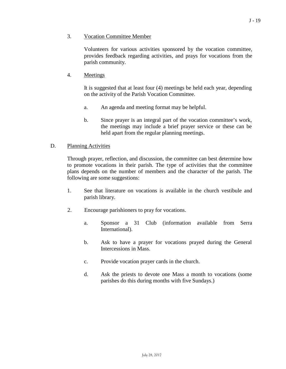### 3. Vocation Committee Member

Volunteers for various activities sponsored by the vocation committee, provides feedback regarding activities, and prays for vocations from the parish community.

#### 4. Meetings

It is suggested that at least four (4) meetings be held each year, depending on the activity of the Parish Vocation Committee.

- a. An agenda and meeting format may be helpful.
- b. Since prayer is an integral part of the vocation committee's work, the meetings may include a brief prayer service or these can be held apart from the regular planning meetings.

#### D. Planning Activities

Through prayer, reflection, and discussion, the committee can best determine how to promote vocations in their parish. The type of activities that the committee plans depends on the number of members and the character of the parish. The following are some suggestions:

- 1. See that literature on vocations is available in the church vestibule and parish library.
- 2. Encourage parishioners to pray for vocations.
	- a. Sponsor a 31 Club (information available from Serra International).
	- b. Ask to have a prayer for vocations prayed during the General Intercessions in Mass.
	- c. Provide vocation prayer cards in the church.
	- d. Ask the priests to devote one Mass a month to vocations (some parishes do this during months with five Sundays.)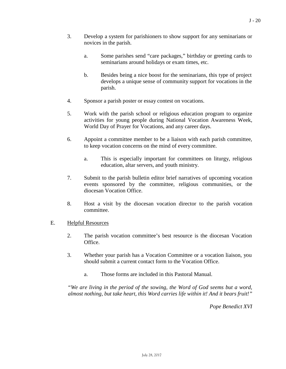- 3. Develop a system for parishioners to show support for any seminarians or novices in the parish.
	- a. Some parishes send "care packages," birthday or greeting cards to seminarians around holidays or exam times, etc.
	- b. Besides being a nice boost for the seminarians, this type of project develops a unique sense of community support for vocations in the parish.
- 4. Sponsor a parish poster or essay contest on vocations.
- 5. Work with the parish school or religious education program to organize activities for young people during National Vocation Awareness Week, World Day of Prayer for Vocations, and any career days.
- 6. Appoint a committee member to be a liaison with each parish committee, to keep vocation concerns on the mind of every committee.
	- a. This is especially important for committees on liturgy, religious education, altar servers, and youth ministry.
- 7. Submit to the parish bulletin editor brief narratives of upcoming vocation events sponsored by the committee, religious communities, or the diocesan Vocation Office.
- 8. Host a visit by the diocesan vocation director to the parish vocation committee.

### E. Helpful Resources

- 2. The parish vocation committee's best resource is the diocesan Vocation Office.
- 3. Whether your parish has a Vocation Committee or a vocation liaison, you should submit a current contact form to the Vocation Office.
	- a. Those forms are included in this Pastoral Manual.

*"We are living in the period of the sowing, the Word of God seems but a word, almost nothing, but take heart, this Word carries life within it! And it bears fruit!"*

*Pope Benedict XVI*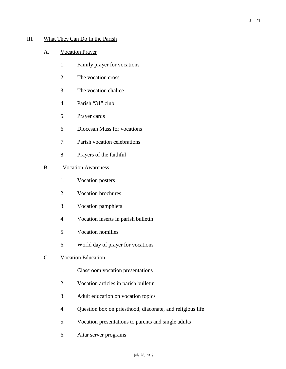# III. What They Can Do In the Parish

### A. Vocation Prayer

- 1. Family prayer for vocations
- 2. The vocation cross
- 3. The vocation chalice
- 4. Parish "31" club
- 5. Prayer cards
- 6. Diocesan Mass for vocations
- 7. Parish vocation celebrations
- 8. Prayers of the faithful

# B. Vocation Awareness

- 1. Vocation posters
- 2. Vocation brochures
- 3. Vocation pamphlets
- 4. Vocation inserts in parish bulletin
- 5. Vocation homilies
- 6. World day of prayer for vocations

## C. Vocation Education

- 1. Classroom vocation presentations
- 2. Vocation articles in parish bulletin
- 3. Adult education on vocation topics
- 4. Question box on priesthood, diaconate, and religious life
- 5. Vocation presentations to parents and single adults
- 6. Altar server programs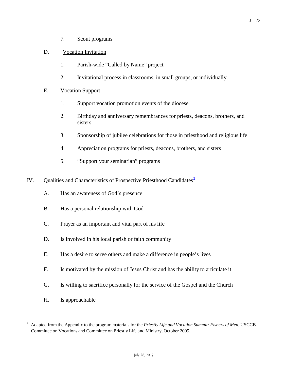7. Scout programs

### D. Vocation Invitation

- 1. Parish-wide "Called by Name" project
- 2. Invitational process in classrooms, in small groups, or individually

# E. Vocation Support

- 1. Support vocation promotion events of the diocese
- 2. Birthday and anniversary remembrances for priests, deacons, brothers, and sisters
- 3. Sponsorship of jubilee celebrations for those in priesthood and religious life
- 4. Appreciation programs for priests, deacons, brothers, and sisters
- 5. "Support your seminarian" programs

# IV. Qualities and Characteristics of Prospective Priesthood Candidates<sup>[2](#page-21-0)</sup>

- A. Has an awareness of God's presence
- B. Has a personal relationship with God
- C. Prayer as an important and vital part of his life
- D. Is involved in his local parish or faith community
- E. Has a desire to serve others and make a difference in people's lives
- F. Is motivated by the mission of Jesus Christ and has the ability to articulate it
- G. Is willing to sacrifice personally for the service of the Gospel and the Church
- H. Is approachable

<span id="page-21-0"></span><sup>2</sup> Adapted from the Appendix to the program materials for the *Priestly Life and Vocation Summit: Fishers of Men*, USCCB Committee on Vocations and Committee on Priestly Life and Ministry, October 2005.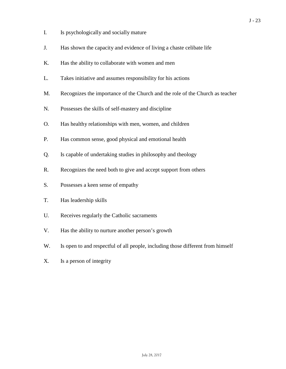- I. Is psychologically and socially mature
- J. Has shown the capacity and evidence of living a chaste celibate life
- K. Has the ability to collaborate with women and men
- L. Takes initiative and assumes responsibility for his actions
- M. Recognizes the importance of the Church and the role of the Church as teacher
- N. Possesses the skills of self-mastery and discipline
- O. Has healthy relationships with men, women, and children
- P. Has common sense, good physical and emotional health
- Q. Is capable of undertaking studies in philosophy and theology
- R. Recognizes the need both to give and accept support from others
- S. Possesses a keen sense of empathy
- T. Has leadership skills
- U. Receives regularly the Catholic sacraments
- V. Has the ability to nurture another person's growth
- W. Is open to and respectful of all people, including those different from himself
- X. Is a person of integrity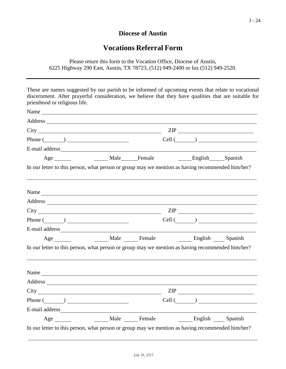# **Diocese of Austin**

# **Vocations Referral Form**

Please return this form to the Vocation Office, Diocese of Austin, 6225 Highway 290 East, Austin, TX 78723, (512) 949-2400 or fax (512) 949-2520.

These are names suggested by our parish to be informed of upcoming events that relate to vocational discernment. After prayerful consideration, we believe that they have qualities that are suitable for priesthood or religious life. Name Address City <u>City</u> Phone  $(\_\_)$ ZIP  $Cell (\_\_\_\_)$ E-mail address Age Male Female English Spanish In our letter to this person, what person or group may we mention as having recommended him/her? Name Address City ZIP  $Phone (\_)$ E-mail address Age Male Female English Spanish  $Cell$   $\qquad \qquad$ In our letter to this person, what person or group may we mention as having recommended him/her? Name and the set of the set of the set of the set of the set of the set of the set of the set of the set of the set of the set of the set of the set of the set of the set of the set of the set of the set of the set of the Address and the contract of the contract of the contract of the contract of the contract of the contract of the contract of the contract of the contract of the contract of the contract of the contract of the contract of th City ZIP Phone ( ) E-mail address Age Male Female English Spanish  $Cell (\_\_\_\_)$ 

In our letter to this person, what person or group may we mention as having recommended him/her?